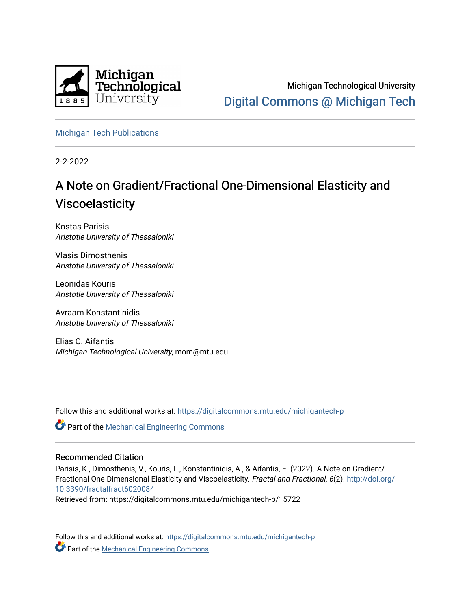

Michigan Technological University [Digital Commons @ Michigan Tech](https://digitalcommons.mtu.edu/) 

[Michigan Tech Publications](https://digitalcommons.mtu.edu/michigantech-p) 

2-2-2022

# A Note on Gradient/Fractional One-Dimensional Elasticity and Viscoelasticity

Kostas Parisis Aristotle University of Thessaloniki

Vlasis Dimosthenis Aristotle University of Thessaloniki

Leonidas Kouris Aristotle University of Thessaloniki

Avraam Konstantinidis Aristotle University of Thessaloniki

Elias C. Aifantis Michigan Technological University, mom@mtu.edu

Follow this and additional works at: [https://digitalcommons.mtu.edu/michigantech-p](https://digitalcommons.mtu.edu/michigantech-p?utm_source=digitalcommons.mtu.edu%2Fmichigantech-p%2F15722&utm_medium=PDF&utm_campaign=PDFCoverPages)

Part of the [Mechanical Engineering Commons](http://network.bepress.com/hgg/discipline/293?utm_source=digitalcommons.mtu.edu%2Fmichigantech-p%2F15722&utm_medium=PDF&utm_campaign=PDFCoverPages) 

## Recommended Citation

Parisis, K., Dimosthenis, V., Kouris, L., Konstantinidis, A., & Aifantis, E. (2022). A Note on Gradient/ Fractional One-Dimensional Elasticity and Viscoelasticity. Fractal and Fractional, 6(2). [http://doi.org/](http://doi.org/10.3390/fractalfract6020084) [10.3390/fractalfract6020084](http://doi.org/10.3390/fractalfract6020084) 

Retrieved from: https://digitalcommons.mtu.edu/michigantech-p/15722

Follow this and additional works at: [https://digitalcommons.mtu.edu/michigantech-p](https://digitalcommons.mtu.edu/michigantech-p?utm_source=digitalcommons.mtu.edu%2Fmichigantech-p%2F15722&utm_medium=PDF&utm_campaign=PDFCoverPages)  **Part of the [Mechanical Engineering Commons](http://network.bepress.com/hgg/discipline/293?utm_source=digitalcommons.mtu.edu%2Fmichigantech-p%2F15722&utm_medium=PDF&utm_campaign=PDFCoverPages)**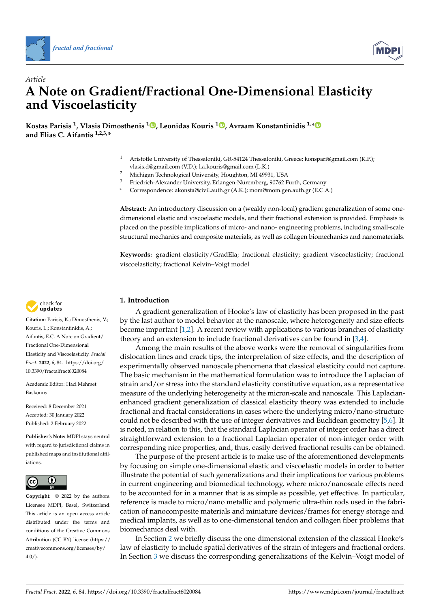



# *Article* **A Note on Gradient/Fractional One-Dimensional Elasticity and Viscoelasticity**

**Kostas Parisis <sup>1</sup> , Vlasis Dimosthenis <sup>1</sup> [,](https://orcid.org/0000-0003-3521-2284) Leonidas Kouris <sup>1</sup> [,](https://orcid.org/0000-0002-4859-7382) Avraam Konstantinidis 1,[\\*](https://orcid.org/0000-0001-9302-9563) and Elias C. Aifantis 1,2,3,\***

- <sup>1</sup> Aristotle University of Thessaloniki, GR-54124 Thessaloniki, Greece; konspari@gmail.com (K.P.); vlasis.d@gmail.com (V.D.); l.a.kouris@gmail.com (L.K.)
- <sup>2</sup> Michigan Technological University, Houghton, MI 49931, USA<br><sup>3</sup> Eriodrich Alexander University Erlangen Nüramberg, 00762 E
- <sup>3</sup> Friedrich-Alexander University, Erlangen-Nüremberg, 90762 Fürth, Germany
- **\*** Correspondence: akonsta@civil.auth.gr (A.K.); mom@mom.gen.auth.gr (E.C.A.)

**Abstract:** An introductory discussion on a (weakly non-local) gradient generalization of some onedimensional elastic and viscoelastic models, and their fractional extension is provided. Emphasis is placed on the possible implications of micro- and nano- engineering problems, including small-scale structural mechanics and composite materials, as well as collagen biomechanics and nanomaterials.

**Keywords:** gradient elasticity/GradEla; fractional elasticity; gradient viscoelasticity; fractional viscoelasticity; fractional Kelvin–Voigt model

### **1. Introduction**

A gradient generalization of Hooke's law of elasticity has been proposed in the past by the last author to model behavior at the nanoscale, where heterogeneity and size effects become important [\[1,](#page-9-0)[2\]](#page-9-1). A recent review with applications to various branches of elasticity theory and an extension to include fractional derivatives can be found in [\[3](#page-9-2)[,4\]](#page-9-3).

Among the main results of the above works were the removal of singularities from dislocation lines and crack tips, the interpretation of size effects, and the description of experimentally observed nanoscale phenomena that classical elasticity could not capture. The basic mechanism in the mathematical formulation was to introduce the Laplacian of strain and/or stress into the standard elasticity constitutive equation, as a representative measure of the underlying heterogeneity at the micron-scale and nanoscale. This Laplacianenhanced gradient generalization of classical elasticity theory was extended to include fractional and fractal considerations in cases where the underlying micro/nano-structure could not be described with the use of integer derivatives and Euclidean geometry [\[5](#page-9-4)[,6\]](#page-9-5). It is noted, in relation to this, that the standard Laplacian operator of integer order has a direct straightforward extension to a fractional Laplacian operator of non-integer order with corresponding nice properties, and, thus, easily derived fractional results can be obtained.

The purpose of the present article is to make use of the aforementioned developments by focusing on simple one-dimensional elastic and viscoelastic models in order to better illustrate the potential of such generalizations and their implications for various problems in current engineering and biomedical technology, where micro/nanoscale effects need to be accounted for in a manner that is as simple as possible, yet effective. In particular, reference is made to micro/nano metallic and polymeric ultra-thin rods used in the fabrication of nanocomposite materials and miniature devices/frames for energy storage and medical implants, as well as to one-dimensional tendon and collagen fiber problems that biomechanics deal with.

In Section [2](#page-2-0) we briefly discuss the one-dimensional extension of the classical Hooke's law of elasticity to include spatial derivatives of the strain of integers and fractional orders. In Section [3](#page-5-0) we discuss the corresponding generalizations of the Kelvin–Voigt model of



**Citation:** Parisis, K.; Dimosthenis, V.; Kouris, L.; Konstantinidis, A.; Aifantis, E.C. A Note on Gradient/ Fractional One-Dimensional Elasticity and Viscoelasticity. *Fractal Fract.* **2022**, *6*, 84. [https://doi.org/](https://doi.org/10.3390/fractalfract6020084) [10.3390/fractalfract6020084](https://doi.org/10.3390/fractalfract6020084)

Academic Editor: Haci Mehmet Baskonus

Received: 8 December 2021 Accepted: 30 January 2022 Published: 2 February 2022

**Publisher's Note:** MDPI stays neutral with regard to jurisdictional claims in published maps and institutional affiliations.



[fractal and fractional](https://www.mdpi.com/journal/fractalfract)<br>Article<br>Article<br>**And Viscolarstic Conformation**<br>and Viscolarstic<br>Kostas Parisis <sup>1</sup>, Vlasis Dim<br>and Elias C. Aifantis <sup>1,2,3,4</sup><br>Kours, L.; Xonstantinidis, A.;<br>Kours, L.; Xonstantinidis, A.;<br>Kours, L. **Copyright:** © 2022 by the authors. Licensee MDPI, Basel, Switzerland. This article is an open access article distributed under the terms and conditions of the Creative Commons Attribution (CC BY) license [\(https://](https://creativecommons.org/licenses/by/4.0/) [creativecommons.org/licenses/by/](https://creativecommons.org/licenses/by/4.0/)  $4.0/$ ).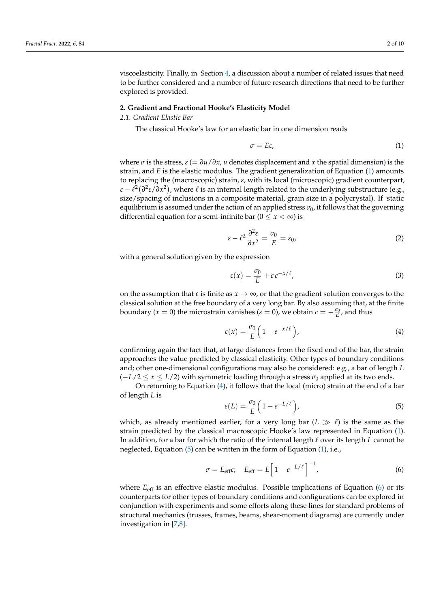viscoelasticity. Finally, in Section [4,](#page-8-0) a discussion about a number of related issues that need to be further considered and a number of future research directions that need to be further explored is provided.

#### <span id="page-2-0"></span>**2. Gradient and Fractional Hooke's Elasticity Model**

#### *2.1. Gradient Elastic Bar*

The classical Hooke's law for an elastic bar in one dimension reads

<span id="page-2-1"></span>
$$
\sigma = E\varepsilon,\tag{1}
$$

where  $\sigma$  is the stress,  $\varepsilon$  (=  $\frac{\partial u}{\partial x}$ , *u* denotes displacement and *x* the spatial dimension) is the strain, and *E* is the elastic modulus. The gradient generalization of Equation [\(1\)](#page-2-1) amounts to replacing the (macroscopic) strain, *ε*, with its local (microscopic) gradient counterpart,  $\epsilon - \ell^2 (\partial^2 \epsilon / \partial x^2)$ , where  $\ell$  is an internal length related to the underlying substructure (e.g., size/spacing of inclusions in a composite material, grain size in a polycrystal). If static equilibrium is assumed under the action of an applied stress  $\sigma_0$ , it follows that the governing differential equation for a semi-infinite bar ( $0 \le x < \infty$ ) is

<span id="page-2-5"></span>
$$
\varepsilon - \ell^2 \, \frac{\partial^2 \varepsilon}{\partial x^2} = \frac{\sigma_0}{E} = \varepsilon_0,\tag{2}
$$

with a general solution given by the expression

$$
\varepsilon(x) = \frac{\sigma_0}{E} + c e^{-x/\ell},\tag{3}
$$

on the assumption that  $\varepsilon$  is finite as  $x \to \infty$ , or that the gradient solution converges to the classical solution at the free boundary of a very long bar. By also assuming that, at the finite boundary ( $x = 0$ ) the microstrain vanishes ( $\varepsilon = 0$ ), we obtain  $c = -\frac{\sigma_0}{E}$ , and thus

<span id="page-2-2"></span>
$$
\varepsilon(x) = \frac{\sigma_0}{E} \left( 1 - e^{-x/\ell} \right),\tag{4}
$$

confirming again the fact that, at large distances from the fixed end of the bar, the strain approaches the value predicted by classical elasticity. Other types of boundary conditions and; other one-dimensional configurations may also be considered: e.g., a bar of length *L*  $(-L/2 \le x \le L/2)$  with symmetric loading through a stress  $\sigma_0$  applied at its two ends.

On returning to Equation [\(4\)](#page-2-2), it follows that the local (micro) strain at the end of a bar of length *L* is

<span id="page-2-3"></span>
$$
\varepsilon(L) = \frac{\sigma_0}{E} \left( 1 - e^{-L/\ell} \right),\tag{5}
$$

which, as already mentioned earlier, for a very long bar  $(L \gg \ell)$  is the same as the strain predicted by the classical macroscopic Hooke's law represented in Equation [\(1\)](#page-2-1). In addition, for a bar for which the ratio of the internal length  $\ell$  over its length *L* cannot be neglected, Equation [\(5\)](#page-2-3) can be written in the form of Equation [\(1\)](#page-2-1), i.e.,

<span id="page-2-4"></span>
$$
\sigma = E_{\text{eff}} \varepsilon, \quad E_{\text{eff}} = E \left[ 1 - e^{-L/\ell} \right]^{-1}, \tag{6}
$$

where  $E_{\text{eff}}$  is an effective elastic modulus. Possible implications of Equation [\(6\)](#page-2-4) or its counterparts for other types of boundary conditions and configurations can be explored in conjunction with experiments and some efforts along these lines for standard problems of structural mechanics (trusses, frames, beams, shear-moment diagrams) are currently under investigation in [\[7,](#page-9-6)[8\]](#page-9-7).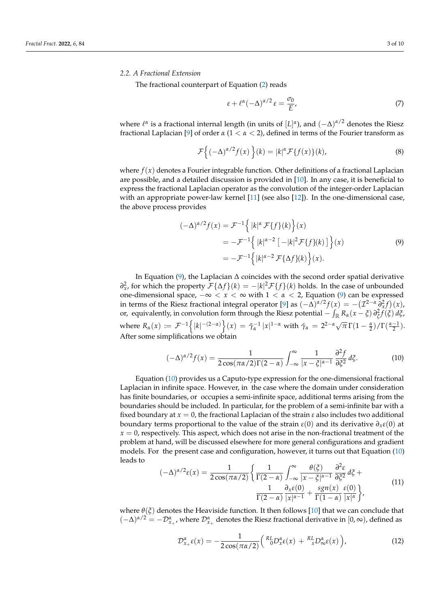#### *2.2. A Fractional Extension*

The fractional counterpart of Equation [\(2\)](#page-2-5) reads

<span id="page-3-2"></span>
$$
\varepsilon + \ell^{\alpha} (-\Delta)^{\alpha/2} \varepsilon = \frac{\sigma_0}{E},\tag{7}
$$

*where l<sup>α</sup>* is a fractional internal length (in units of [*L*]<sup>α</sup>), and (−∆)<sup>α/2</sup> denotes the Riesz fractional Laplacian [\[9\]](#page-9-8) of order  $\alpha$  (1  $\lt \alpha \lt 2$ ), defined in terms of the Fourier transform as

$$
\mathcal{F}\left\{(-\Delta)^{\alpha/2}f(x)\right\}(k) = |k|^{\alpha}\mathcal{F}\left\{f(x)\right\}(k),\tag{8}
$$

where  $f(x)$  denotes a Fourier integrable function. Other definitions of a fractional Laplacian are possible, and a detailed discussion is provided in  $[10]$ . In any case, it is beneficial to express the fractional Laplacian operator as the convolution of the integer-order Laplacian with an appropriate power-law kernel [\[11\]](#page-9-10) (see also [\[12\]](#page-9-11)). In the one-dimensional case, the above process provides

<span id="page-3-0"></span>
$$
(-\Delta)^{\alpha/2} f(x) = \mathcal{F}^{-1} \Big\{ |k|^{\alpha} \mathcal{F} \{f\}(k) \Big\}(x)
$$
  
=  $-\mathcal{F}^{-1} \Big\{ |k|^{\alpha-2} [-|k|^2 \mathcal{F} \{f\}(k)] \Big\}(x)$   
=  $-\mathcal{F}^{-1} \Big\{ |k|^{\alpha-2} \mathcal{F} \{\Delta f\}(k) \Big\}(x).$  (9)

In Equation [\(9\)](#page-3-0), the Laplacian ∆ coincides with the second order spatial derivative *∂*<sup>2</sup><sub>*x*</sub>, for which the property  $\mathcal{F}$ {∆*f* }(*k*) = −|*k*|<sup>2</sup> $\mathcal{F}$ {*f* }(*k*) holds. In the case of unbounded one-dimensional space, −∞ < *x* < ∞ with 1 < *α* < 2, Equation [\(9\)](#page-3-0) can be expressed in terms of the Riesz fractional integral operator [\[9\]](#page-9-8) as  $(-\Delta)^{\alpha/2} f(x) = -(Z^{2-\alpha} \partial_x^2 f)(x)$ , or, equivalently, in convolution form through the Riesz potential  $-$  ∫<sub>ℝ</sub> R<sub>α</sub>( $x - \xi$ )  $\partial_{\xi}^2 f(\xi) d\xi$ , where  $R_\alpha(x) := \mathcal{F}^{-1}\left\{ |k|^{-(2-\alpha)} \right\}(x) = \tilde{\gamma}_\alpha^{-1} |x|^{1-\alpha}$  with  $\tilde{\gamma}_\alpha = 2^{2-\alpha} \sqrt{\pi} \Gamma(1-\frac{\alpha}{2}) / \Gamma(\frac{\alpha-1}{2})$ . After some simplifications we obtain

<span id="page-3-1"></span>
$$
(-\Delta)^{\alpha/2} f(x) = \frac{1}{2\cos(\pi\alpha/2)\Gamma(2-\alpha)} \int_{-\infty}^{\infty} \frac{1}{|x-\xi|^{\alpha-1}} \frac{\partial^2 f}{\partial \xi^2} d\xi.
$$
 (10)

Equation [\(10\)](#page-3-1) provides us a Caputo-type expression for the one-dimensional fractional Laplacian in infinite space. However, in the case where the domain under consideration has finite boundaries, or occupies a semi-infinite space, additional terms arising from the boundaries should be included. In particular, for the problem of a semi-infinite bar with a fixed boundary at  $x = 0$ , the fractional Laplacian of the strain  $\varepsilon$  also includes two additional boundary terms proportional to the value of the strain *ε*(0) and its derivative *∂xε*(0) at  $x = 0$ , respectively. This aspect, which does not arise in the non-fractional treatment of the problem at hand, will be discussed elsewhere for more general configurations and gradient models. For the present case and configuration, however, it turns out that Equation [\(10\)](#page-3-1) leads to

$$
(-\Delta)^{\alpha/2}\varepsilon(x) = \frac{1}{2\cos(\pi\alpha/2)} \left\{ \frac{1}{\Gamma(2-\alpha)} \int_{-\infty}^{\infty} \frac{\theta(\xi)}{|x-\xi|^{\alpha-1}} \frac{\partial^2 \varepsilon}{\partial \xi^2} d\xi + \frac{1}{\Gamma(2-\alpha)} \frac{\partial}{|x|^{\alpha-1}} + \frac{sgn(x)}{\Gamma(1-\alpha)} \frac{\varepsilon(0)}{|x|^{\alpha}} \right\},\tag{11}
$$

where  $\theta(\xi)$  denotes the Heaviside function. It then follows [\[10\]](#page-9-9) that we can conclude that  $(-\Delta)^{\alpha/2} = -\mathcal{D}^{\alpha}_{x_+}$ , where  $\mathcal{D}^{\alpha}_{x_+}$  denotes the Riesz fractional derivative in  $[0,\infty)$ , defined as

$$
\mathcal{D}_{x_{+}}^{\alpha}\varepsilon(x)=-\frac{1}{2\cos(\pi\alpha/2)}\Big(\,{}_{0}^{RL}D_{x}^{\alpha}\varepsilon(x)+\,{}_{x}^{RL}D_{\infty}^{\alpha}\varepsilon(x)\,\Big),\tag{12}
$$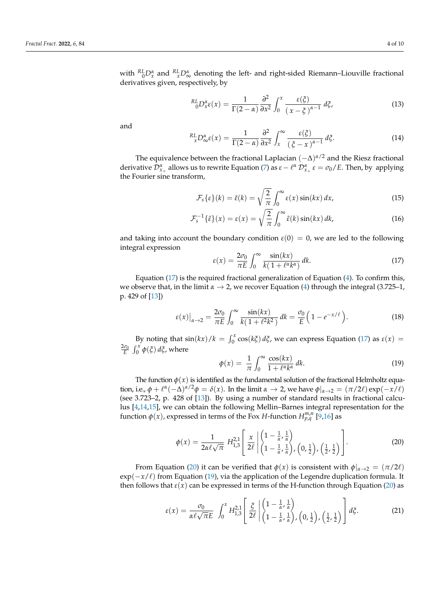with  ${}^{RL}_{0}D_{x}^{\alpha}$  and  ${}^{RL}_{x}D_{\infty}^{\alpha}$  denoting the left- and right-sided Riemann–Liouville fractional derivatives given, respectively, by

$$
{}^{RL}_{0}D_{x}^{\alpha}\varepsilon(x) = \frac{1}{\Gamma(2-\alpha)}\frac{\partial^{2}}{\partial x^{2}}\int_{0}^{x}\frac{\varepsilon(\xi)}{(x-\xi)^{\alpha-1}}d\xi,
$$
\n(13)

and

$$
{}_{x}^{RL}D_{\infty}^{\alpha}\varepsilon(x) = \frac{1}{\Gamma(2-\alpha)}\frac{\partial^{2}}{\partial x^{2}}\int_{x}^{\infty}\frac{\varepsilon(\xi)}{\left(\xi-x\right)^{\alpha-1}}d\xi.
$$
 (14)

The equivalence between the fractional Laplacian  $(-\Delta)^{\alpha/2}$  and the Riesz fractional derivative  $\mathcal{D}_{x_+}^{\alpha}$  allows us to rewrite Equation [\(7\)](#page-3-2) as  $\varepsilon - \ell^{\alpha}$   $\mathcal{D}_{x_+}^{\alpha}$   $\varepsilon = \sigma_0/E$ . Then, by applying the Fourier sine transform,

$$
\mathcal{F}_s\{\varepsilon\}(k) = \tilde{\varepsilon}(k) = \sqrt{\frac{2}{\pi}} \int_0^\infty \varepsilon(x) \sin(kx) \, dx,\tag{15}
$$

$$
\mathcal{F}_s^{-1}\{\tilde{\varepsilon}\}(x) = \varepsilon(x) = \sqrt{\frac{2}{\pi}} \int_0^\infty \tilde{\varepsilon}(k) \sin(kx) \, dk,\tag{16}
$$

and taking into account the boundary condition  $\varepsilon(0) = 0$ , we are led to the following integral expression

<span id="page-4-0"></span>
$$
\varepsilon(x) = \frac{2\sigma_0}{\pi E} \int_0^\infty \frac{\sin(kx)}{k(1 + \ell^\alpha k^\alpha)} \, dk. \tag{17}
$$

Equation [\(17\)](#page-4-0) is the required fractional generalization of Equation [\(4\)](#page-2-2). To confirm this, we observe that, in the limit  $\alpha \rightarrow 2$ , we recover Equation [\(4\)](#page-2-2) through the integral (3.725–1, p. 429 of [\[13\]](#page-9-12))

$$
\varepsilon(x)\big|_{\alpha\to 2} = \frac{2\sigma_0}{\pi E} \int_0^\infty \frac{\sin(kx)}{k(1+\ell^2 k^2)} \, dk = \frac{\sigma_0}{E} \left(1 - e^{-x/\ell}\right). \tag{18}
$$

By noting that  $\sin(kx)/k = \int_0^x \cos(k\xi) d\xi$ , we can express Equation [\(17\)](#page-4-0) as  $\varepsilon(x) =$  $\frac{2\sigma_0}{E}$   $\int_0^x \phi(\xi) d\xi$ , where

<span id="page-4-2"></span>
$$
\phi(x) = \frac{1}{\pi} \int_0^\infty \frac{\cos(kx)}{1 + \ell^\alpha k^\alpha} \, dk. \tag{19}
$$

The function  $\phi(x)$  is identified as the fundamental solution of the fractional Helmholtz equation, i.e.,  $\phi + \ell^{\alpha}(-\Delta)^{\alpha/2}\phi = \delta(x)$ . In the limit  $\alpha \to 2$ , we have  $\phi|_{\alpha \to 2} = (\pi/2\ell) \exp(-x/\ell)$ (see 3.723–2, p. 428 of [\[13\]](#page-9-12)). By using a number of standard results in fractional calculus [\[4](#page-9-3)[,14](#page-9-13)[,15\]](#page-9-14), we can obtain the following Mellin–Barnes integral representation for the function  $\phi(x)$ , expressed in terms of the Fox *H*-function  $H_{p,q}^{m,n}$  [\[9,](#page-9-8)[16\]](#page-9-15) as

<span id="page-4-1"></span>
$$
\phi(x) = \frac{1}{2\alpha\ell\sqrt{\pi}} H_{1,3}^{2,1} \left[ \frac{x}{2\ell} \left| \begin{pmatrix} 1 - \frac{1}{\alpha}, \frac{1}{\alpha} \\ 1 - \frac{1}{\alpha}, \frac{1}{\alpha} \end{pmatrix}, \left( 0, \frac{1}{2} \right), \left( \frac{1}{2}, \frac{1}{2} \right) \right] \right].
$$
 (20)

From Equation [\(20\)](#page-4-1) it can be verified that  $\phi(x)$  is consistent with  $\phi|_{\alpha\to 2} = (\pi/2\ell)$ exp( $-x/\ell$ ) from Equation [\(19\)](#page-4-2), via the application of the Legendre duplication formula. It then follows that  $\varepsilon(x)$  can be expressed in terms of the H-function through Equation [\(20\)](#page-4-1) as

<span id="page-4-3"></span>
$$
\varepsilon(x) = \frac{\sigma_0}{\alpha \ell \sqrt{\pi} E} \int_0^x H_{1,3}^{2,1} \left[ \frac{\xi}{2\ell} \left| \begin{pmatrix} 1 - \frac{1}{\alpha}, \frac{1}{\alpha} \\ 1 - \frac{1}{\alpha}, \frac{1}{\alpha} \end{pmatrix}, \left( 0, \frac{1}{2} \right), \left( \frac{1}{2}, \frac{1}{2} \right) \right] d\xi. \tag{21}
$$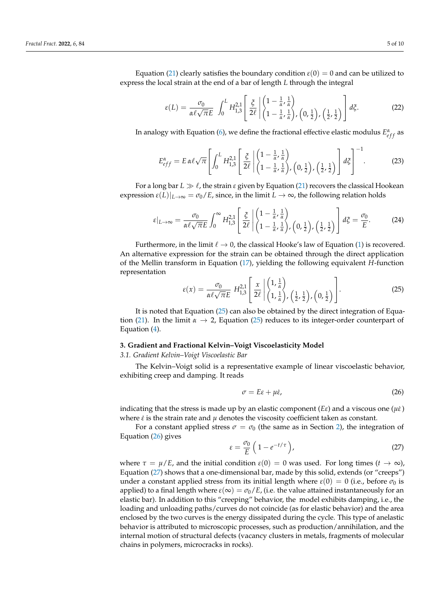Equation [\(21\)](#page-4-3) clearly satisfies the boundary condition  $\varepsilon(0) = 0$  and can be utilized to express the local strain at the end of a bar of length *L* through the integral

$$
\varepsilon(L) = \frac{\sigma_0}{\alpha \ell \sqrt{\pi} E} \int_0^L H_{1,3}^{2,1} \left[ \frac{\xi}{2\ell} \left| \begin{pmatrix} 1 - \frac{1}{\alpha}, \frac{1}{\alpha} \\ 1 - \frac{1}{\alpha}, \frac{1}{\alpha} \end{pmatrix}, \left( 0, \frac{1}{2} \right), \left( \frac{1}{2}, \frac{1}{2} \right) \right] d\xi. \tag{22}
$$

In analogy with Equation [\(6\)](#page-2-4), we define the fractional effective elastic modulus  $E_{eff}^{\alpha}$  as

$$
E_{eff}^{\alpha} = E \alpha \ell \sqrt{\pi} \left[ \int_0^L H_{1,3}^{2,1} \left[ \frac{\xi}{2\ell} \left| \begin{pmatrix} 1 - \frac{1}{\alpha}, \frac{1}{\alpha} \\ 1 - \frac{1}{\alpha}, \frac{1}{\alpha} \end{pmatrix}, \left( 0, \frac{1}{2} \right), \left( \frac{1}{2}, \frac{1}{2} \right) \right] d\xi \right]^{-1} . \tag{23}
$$

For a long bar  $L \gg \ell$ , the strain  $\varepsilon$  given by Equation [\(21\)](#page-4-3) recovers the classical Hookean expression  $\varepsilon(L)|_{L\to\infty} = \sigma_0/E$ , since, in the limit  $L\to\infty$ , the following relation holds

$$
\varepsilon|_{L\to\infty} = \frac{\sigma_0}{\alpha\ell\sqrt{\pi}E} \int_0^\infty H_{1,3}^{2,1} \left[ \frac{\xi}{2\ell} \left| \begin{pmatrix} 1 - \frac{1}{\alpha}, \frac{1}{\alpha} \\ 1 - \frac{1}{\alpha}, \frac{1}{\alpha} \end{pmatrix}, \left(0, \frac{1}{2}\right), \left(\frac{1}{2}, \frac{1}{2}\right) \right] d\xi = \frac{\sigma_0}{E}.
$$
 (24)

Furthermore, in the limit  $\ell \to 0$ , the classical Hooke's law of Equation [\(1\)](#page-2-1) is recovered. An alternative expression for the strain can be obtained through the direct application of the Mellin transform in Equation [\(17\)](#page-4-0), yielding the following equivalent *H*-function representation

<span id="page-5-1"></span>
$$
\varepsilon(x) = \frac{\sigma_0}{\alpha \ell \sqrt{\pi} E} H_{1,3}^{2,1} \left[ \frac{x}{2\ell} \left| \begin{pmatrix} 1, \frac{1}{\alpha} \\ 1, \frac{1}{\alpha} \end{pmatrix}, \left( \frac{1}{2}, \frac{1}{2} \right), \left( 0, \frac{1}{2} \right) \right. \right]. \tag{25}
$$

It is noted that Equation [\(25\)](#page-5-1) can also be obtained by the direct integration of Equa-tion [\(21\)](#page-4-3). In the limit  $\alpha \to 2$ , Equation [\(25\)](#page-5-1) reduces to its integer-order counterpart of Equation [\(4\)](#page-2-2).

#### <span id="page-5-0"></span>**3. Gradient and Fractional Kelvin–Voigt Viscoelasticity Model**

#### *3.1. Gradient Kelvin–Voigt Viscoelastic Bar*

The Kelvin–Voigt solid is a representative example of linear viscoelastic behavior, exhibiting creep and damping. It reads

<span id="page-5-2"></span>
$$
\sigma = E\varepsilon + \mu \dot{\varepsilon},\tag{26}
$$

indicating that the stress is made up by an elastic component (*E* $\varepsilon$ ) and a viscous one ( $\mu\dot{\varepsilon}$ ) where *ε*˙ is the strain rate and *µ* denotes the viscosity coefficient taken as constant.

For a constant applied stress  $\sigma = \sigma_0$  (the same as in Section [2\)](#page-2-0), the integration of Equation [\(26\)](#page-5-2) gives

<span id="page-5-3"></span>
$$
\varepsilon = \frac{\sigma_0}{E} \left( 1 - e^{-t/\tau} \right),\tag{27}
$$

where  $\tau = \mu/E$ , and the initial condition  $\varepsilon(0) = 0$  was used. For long times  $(t \to \infty)$ , Equation [\(27\)](#page-5-3) shows that a one-dimensional bar, made by this solid, extends (or "creeps") under a constant applied stress from its initial length where  $\varepsilon(0) = 0$  (i.e., before  $\sigma_0$  is applied) to a final length where  $\varepsilon(\infty) = \sigma_0/E$ , (i.e. the value attained instantaneously for an elastic bar). In addition to this "creeping" behavior, the model exhibits damping, i.e., the loading and unloading paths/curves do not coincide (as for elastic behavior) and the area enclosed by the two curves is the energy dissipated during the cycle. This type of anelastic behavior is attributed to microscopic processes, such as production/annihilation, and the internal motion of structural defects (vacancy clusters in metals, fragments of molecular chains in polymers, microcracks in rocks).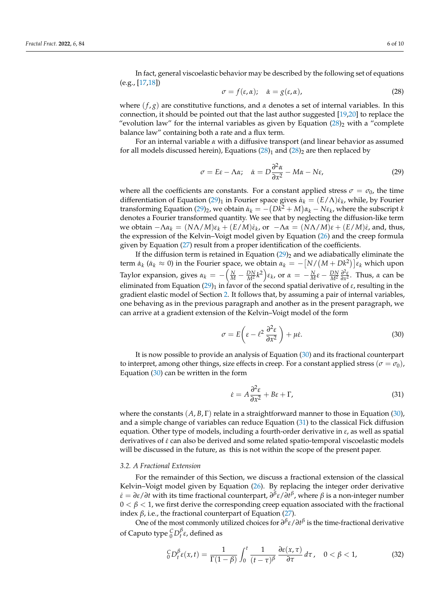In fact, general viscoelastic behavior may be described by the following set of equations (e.g., [\[17](#page-9-16)[,18\]](#page-9-17))

<span id="page-6-0"></span>
$$
\sigma = f(\varepsilon, \alpha); \quad \dot{\alpha} = g(\varepsilon, \alpha), \tag{28}
$$

where  $(f, g)$  are constitutive functions, and  $\alpha$  denotes a set of internal variables. In this connection, it should be pointed out that the last author suggested [\[19](#page-9-18)[,20\]](#page-9-19) to replace the "evolution law" for the internal variables as given by Equation  $(28)_2$  $(28)_2$  with a "complete" balance law" containing both a rate and a flux term.

For an internal variable *α* with a diffusive transport (and linear behavior as assumed for all models discussed herein), Equations  $(28)_1$  $(28)_1$  and  $(28)_2$  are then replaced by

<span id="page-6-1"></span>
$$
\sigma = E\varepsilon - \Lambda \alpha; \quad \dot{\alpha} = D \frac{\partial^2 \alpha}{\partial x^2} - M\alpha - N\varepsilon,
$$
\n(29)

where all the coefficients are constants. For a constant applied stress  $\sigma = \sigma_0$ , the time differentiation of Equation [\(29\)](#page-6-1)<sub>1</sub> in Fourier space gives  $\dot{a}_k = (E/\Lambda)\dot{\varepsilon}_k$ , while, by Fourier transforming Equation [\(29\)](#page-6-1)<sub>2</sub>, we obtain  $\dot{a}_k = -(Dk^2 + M)a_k - N\varepsilon_k$ , where the subscript *k* denotes a Fourier transformed quantity. We see that by neglecting the diffusion-like term  $\alpha$ <sup>*k*</sup> e obtain −Λ*α*<sub>*k*</sub> = ( $N\Lambda/M$ ) $\varepsilon$ <sub>*k</sub>* + ( $E/M$ ) $\varepsilon$ <sub>*k*</sub>, or −Λ*α* = ( $N\Lambda/M$ ) $\varepsilon$  + ( $E/M$ ) $\varepsilon$ , and, thus,</sub> the expression of the Kelvin–Voigt model given by Equation [\(26\)](#page-5-2) and the creep formula given by Equation [\(27\)](#page-5-3) result from a proper identification of the coefficients.

If the diffusion term is retained in Equation  $(29)_2$  $(29)_2$  and we adiabatically eliminate the term  $\dot{a}_k$  ( $\dot{a}_k \approx 0$ ) in the Fourier space, we obtain  $a_k = -[N/(M+Dk^2)]\varepsilon_k$  which upon Taylor expansion, gives  $\alpha_k = -\left(\frac{N}{M} - \frac{DN}{M^2}k^2\right)\epsilon_k$ , or  $\alpha = -\frac{N}{M}\epsilon - \frac{DN}{M^2}\frac{\partial^2 \epsilon}{\partial x^2}$ . Thus,  $\alpha$  can be eliminated from Equation [\(29\)](#page-6-1)<sub>1</sub> in favor of the second spatial derivative of  $\varepsilon$ , resulting in the gradient elastic model of Section [2.](#page-2-0) It follows that, by assuming a pair of internal variables, one behaving as in the previous paragraph and another as in the present paragraph, we can arrive at a gradient extension of the Kelvin–Voigt model of the form

<span id="page-6-2"></span>
$$
\sigma = E\left(\varepsilon - \ell^2 \frac{\partial^2 \varepsilon}{\partial x^2}\right) + \mu \dot{\varepsilon}.\tag{30}
$$

It is now possible to provide an analysis of Equation [\(30\)](#page-6-2) and its fractional counterpart to interpret, among other things, size effects in creep. For a constant applied stress ( $\sigma = \sigma_0$ ), Equation [\(30\)](#page-6-2) can be written in the form

<span id="page-6-3"></span>
$$
\dot{\varepsilon} = A \frac{\partial^2 \varepsilon}{\partial x^2} + B\varepsilon + \Gamma,\tag{31}
$$

where the constants  $(A, B, \Gamma)$  relate in a straightforward manner to those in Equation [\(30\)](#page-6-2), and a simple change of variables can reduce Equation [\(31\)](#page-6-3) to the classical Fick diffusion equation. Other type of models, including a fourth-order derivative in *ε*, as well as spatial derivatives of *ε*˙ can also be derived and some related spatio-temporal viscoelastic models will be discussed in the future, as this is not within the scope of the present paper.

#### *3.2. A Fractional Extension*

For the remainder of this Section, we discuss a fractional extension of the classical Kelvin–Voigt model given by Equation [\(26\)](#page-5-2). By replacing the integer order derivative *ε*˙ = *∂ε*/*∂t* with its time fractional counterpart, *∂ β ε*/*∂t β* , where *β* is a non-integer number  $0 < \beta < 1$ , we first derive the corresponding creep equation associated with the fractional index  $β$ , i.e., the fractional counterpart of Equation [\(27\)](#page-5-3).

One of the most commonly utilized choices for *∂ β ε*/*∂t β* is the time-fractional derivative of Caputo type  ${}^C_0D_t^{\beta}\varepsilon$ , defined as

$$
{}_{0}^{C}D_{t}^{\beta}\varepsilon(x,t)=\frac{1}{\Gamma(1-\beta)}\int_{0}^{t}\frac{1}{(t-\tau)^{\beta}}\frac{\partial\varepsilon(x,\tau)}{\partial\tau}\,d\tau\,,\quad 0<\beta<1,\tag{32}
$$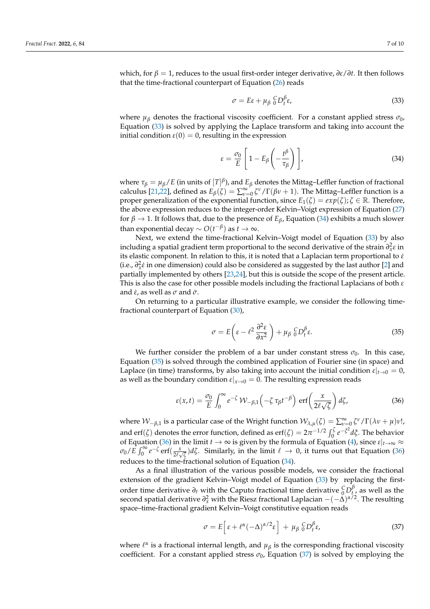which, for  $β = 1$ , reduces to the usual first-order integer derivative,  $∂ε/∂t$ . It then follows that the time-fractional counterpart of Equation [\(26\)](#page-5-2) reads

<span id="page-7-0"></span>
$$
\sigma = E\varepsilon + \mu_\beta \, {}_0^C D_t^\beta \varepsilon,\tag{33}
$$

where  $\mu$ <sup>*β*</sup> denotes the fractional viscosity coefficient. For a constant applied stress  $\sigma$ <sup>0</sup>, Equation [\(33\)](#page-7-0) is solved by applying the Laplace transform and taking into account the initial condition  $\varepsilon(0) = 0$ , resulting in the expression

<span id="page-7-1"></span>
$$
\varepsilon = \frac{\sigma_0}{E} \left[ 1 - E_\beta \left( - \frac{t^\beta}{\tau_\beta} \right) \right],\tag{34}
$$

where  $\tau_\beta = \mu_\beta/E$  (in units of  $[T]^\beta$ ), and  $E_\beta$  denotes the Mittag–Leffler function of fractional calculus [\[21,](#page-9-20)[22\]](#page-9-21), defined as  $E_\beta(\zeta) = \sum_{\nu=0}^\infty \zeta^\nu/\Gamma(\beta \nu + 1)$ . The Mittag–Leffler function is a proper generalization of the exponential function, since  $E_1(\zeta) = exp(\zeta)$ ;  $\zeta \in \mathbb{R}$ . Therefore, the above expression reduces to the integer-order Kelvin–Voigt expression of Equation [\(27\)](#page-5-3) for  $\beta \rightarrow 1$ . It follows that, due to the presence of  $E_{\beta}$ , Equation [\(34\)](#page-7-1) exhibits a much slower than exponential decay  $\sim O(t^{-\beta})$  as  $t\to\infty.$ 

Next, we extend the time-fractional Kelvin–Voigt model of Equation [\(33\)](#page-7-0) by also including a spatial gradient term proportional to the second derivative of the strain  $\partial_x^2 \varepsilon$  in its elastic component. In relation to this, it is noted that a Laplacian term proportional to *ε*˙ (i.e., *∂* 2 *x ε*˙ in one dimension) could also be considered as suggested by the last author [\[2\]](#page-9-1) and partially implemented by others [\[23](#page-9-22)[,24\]](#page-9-23), but this is outside the scope of the present article. This is also the case for other possible models including the fractional Laplacians of both *ε* and  $\dot{\varepsilon}$ , as well as  $\sigma$  and  $\dot{\sigma}$ .

On returning to a particular illustrative example, we consider the following timefractional counterpart of Equation [\(30\)](#page-6-2),

<span id="page-7-2"></span>
$$
\sigma = E\left(\varepsilon - \ell^2 \frac{\partial^2 \varepsilon}{\partial x^2}\right) + \mu_\beta \, {}_0^C D_t^\beta \varepsilon. \tag{35}
$$

We further consider the problem of a bar under constant stress  $\sigma_0$ . In this case, Equation [\(35\)](#page-7-2) is solved through the combined application of Fourier sine (in space) and Laplace (in time) transforms, by also taking into account the initial condition  $\varepsilon|_{t\to 0} = 0$ , as well as the boundary condition  $\varepsilon|_{x\to 0} = 0$ . The resulting expression reads

<span id="page-7-3"></span>
$$
\varepsilon(x,t) = \frac{\sigma_0}{E} \int_0^\infty e^{-\zeta} \mathcal{W}_{-\beta,1}\left(-\zeta \tau_\beta t^{-\beta}\right) \,\mathrm{erf}\left(\frac{x}{2\ell\sqrt{\zeta}}\right) d\zeta,\tag{36}
$$

where  $W_{-\beta,1}$  is a particular case of the Wright function  $W_{\lambda,\mu}(\zeta) = \sum_{\nu=0}^{\infty} \zeta^{\nu} / \Gamma(\lambda \nu + \mu) \nu!$ , and erf( $\zeta$ ) denotes the error function, defined as erf( $\zeta$ ) =  $2\pi^{-1/2} \int_0^{\zeta} e^{-\zeta^2} d\zeta$ . The behavior of Equation [\(36\)](#page-7-3) in the limit  $t \to \infty$  is given by the formula of Equation [\(4\)](#page-2-2), since  $\varepsilon|_{t\to\infty} \approx$  $\sigma_0/\tilde{E} \int_0^\infty e^{-\zeta} \, \text{erf}(\frac{x}{2\ell\sqrt{\zeta}}) d\zeta$ . Similarly, in the limit  $\ell \to 0$ , it turns out that Equation [\(36\)](#page-7-3) reduces to the time-fractional solution of Equation [\(34\)](#page-7-1).

As a final illustration of the various possible models, we consider the fractional extension of the gradient Kelvin–Voigt model of Equation [\(33\)](#page-7-0) by replacing the firstorder time derivative  $\partial_t$  with the Caputo fractional time derivative  ${}^C_0D^{\beta}_{t}$  as well as the second spatial derivative  $\partial_x^2$  with the Riesz fractional Laplacian  $-(-\Delta)^{\alpha/2}$ . The resulting space–time-fractional gradient Kelvin–Voigt constitutive equation reads

<span id="page-7-4"></span>
$$
\sigma = E \Big[ \varepsilon + \ell^{\alpha} (-\Delta)^{\alpha/2} \varepsilon \Big] + \mu_{\beta} \, {}_{0}^{C} D_{t}^{\beta} \varepsilon, \tag{37}
$$

where  $\ell^{\alpha}$  is a fractional internal length, and  $\mu_{\beta}$  is the corresponding fractional viscosity coefficient. For a constant applied stress  $\sigma_0$ , Equation [\(37\)](#page-7-4) is solved by employing the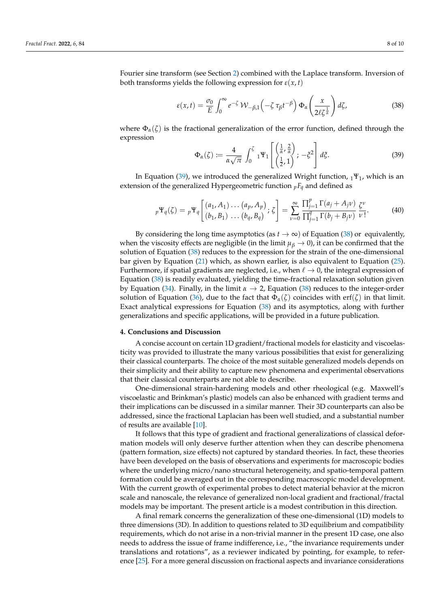Fourier sine transform (see Section [2\)](#page-2-0) combined with the Laplace transform. Inversion of both transforms yields the following expression for  $\varepsilon(x, t)$ 

<span id="page-8-2"></span>
$$
\varepsilon(x,t) = \frac{\sigma_0}{E} \int_0^\infty e^{-\zeta} \mathcal{W}_{-\beta,1}\left(-\zeta \tau_\beta t^{-\beta}\right) \Phi_\alpha\left(\frac{x}{2\ell \zeta^{\frac{1}{\alpha}}}\right) d\zeta,\tag{38}
$$

where  $\Phi_{\alpha}(\zeta)$  is the fractional generalization of the error function, defined through the expression

<span id="page-8-1"></span>
$$
\Phi_{\alpha}(\zeta) := \frac{4}{\alpha \sqrt{\pi}} \int_0^{\zeta} {}_1 \Psi_1 \left[ \begin{pmatrix} \frac{1}{\alpha}, \frac{2}{\alpha} \\ \frac{1}{2}, 1 \end{pmatrix}; -\zeta^2 \right] d\zeta.
$$
 (39)

In Equation [\(39\)](#page-8-1), we introduced the generalized Wright function,  $_1\Psi_1$ , which is an extension of the generalized Hypergeometric function *<sup>p</sup>F<sup>q</sup>* and defined as

$$
{}_{p}\Psi_{q}(\zeta) = {}_{p}\Psi_{q} \left[ \begin{array}{c} (a_{1}, A_{1}) \dots (a_{p}, A_{p}) \\ (b_{1}, B_{1}) \dots (b_{q}, B_{q}) \end{array} ; \zeta \right] = \sum_{\nu=0}^{\infty} \frac{\prod_{j=1}^{p} \Gamma(a_{j} + A_{j}\nu)}{\prod_{j=1}^{q} \Gamma(b_{j} + B_{j}\nu)} \frac{\zeta^{\nu}}{\nu!}.
$$
 (40)

By considering the long time asymptotics (as  $t \to \infty$ ) of Equation [\(38\)](#page-8-2) or equivalently, when the viscosity effects are negligible (in the limit  $\mu$ <sup>*β*</sup>  $\to$  0), it can be confirmed that the solution of Equation [\(38\)](#page-8-2) reduces to the expression for the strain of the one-dimensional bar given by Equation [\(21\)](#page-4-3) which, as shown earlier, is also equivalent to Equation [\(25\)](#page-5-1). Furthermore, if spatial gradients are neglected, i.e., when  $\ell \to 0$ , the integral expression of Equation [\(38\)](#page-8-2) is readily evaluated, yielding the time-fractional relaxation solution given by Equation [\(34\)](#page-7-1). Finally, in the limit  $\alpha \to 2$ , Equation [\(38\)](#page-8-2) reduces to the integer-order solution of Equation [\(36\)](#page-7-3), due to the fact that  $\Phi_{\alpha}(\zeta)$  coincides with erf( $\zeta$ ) in that limit. Exact analytical expressions for Equation [\(38\)](#page-8-2) and its asymptotics, along with further generalizations and specific applications, will be provided in a future publication.

#### <span id="page-8-0"></span>**4. Conclusions and Discussion**

A concise account on certain 1D gradient/fractional models for elasticity and viscoelasticity was provided to illustrate the many various possibilities that exist for generalizing their classical counterparts. The choice of the most suitable generalized models depends on their simplicity and their ability to capture new phenomena and experimental observations that their classical counterparts are not able to describe.

One-dimensional strain-hardening models and other rheological (e.g. Maxwell's viscoelastic and Brinkman's plastic) models can also be enhanced with gradient terms and their implications can be discussed in a similar manner. Their 3D counterparts can also be addressed, since the fractional Laplacian has been well studied, and a substantial number of results are available [\[10\]](#page-9-9).

It follows that this type of gradient and fractional generalizations of classical deformation models will only deserve further attention when they can describe phenomena (pattern formation, size effects) not captured by standard theories. In fact, these theories have been developed on the basis of observations and experiments for macroscopic bodies where the underlying micro/nano structural heterogeneity, and spatio-temporal pattern formation could be averaged out in the corresponding macroscopic model development. With the current growth of experimental probes to detect material behavior at the micron scale and nanoscale, the relevance of generalized non-local gradient and fractional/fractal models may be important. The present article is a modest contribution in this direction.

A final remark concerns the generalization of these one-dimensional (1D) models to three dimensions (3D). In addition to questions related to 3D equilibrium and compatibility requirements, which do not arise in a non-trivial manner in the present 1D case, one also needs to address the issue of frame indifference, i.e., "the invariance requirements under translations and rotations", as a reviewer indicated by pointing, for example, to reference [\[25\]](#page-10-0). For a more general discussion on fractional aspects and invariance considerations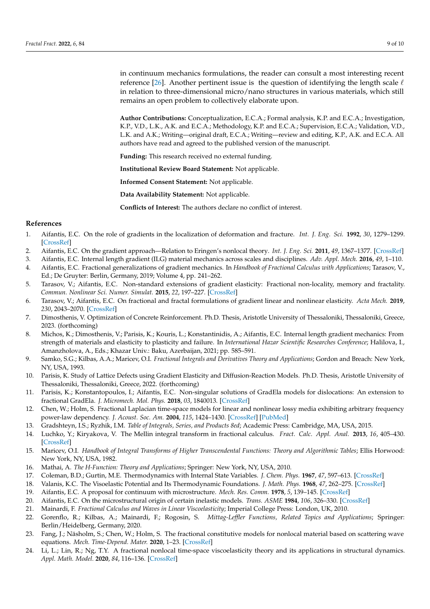in continuum mechanics formulations, the reader can consult a most interesting recent reference [\[26\]](#page-10-1). Another pertinent issue is the question of identifying the length scale  $\ell$ in relation to three-dimensional micro/nano structures in various materials, which still remains an open problem to collectively elaborate upon.

**Author Contributions:** Conceptualization, E.C.A.; Formal analysis, K.P. and E.C.A.; Investigation, K.P., V.D., L.K., A.K. and E.C.A.; Methodology, K.P. and E.C.A.; Supervision, E.C.A.; Validation, V.D., L.K. and A.K.; Writing—original draft, E.C.A.; Writing—review and editing, K.P., A.K. and E.C.A. All authors have read and agreed to the published version of the manuscript.

**Funding:** This research received no external funding.

**Institutional Review Board Statement:** Not applicable.

**Informed Consent Statement:** Not applicable.

**Data Availability Statement:** Not applicable.

**Conflicts of Interest:** The authors declare no conflict of interest.

#### **References**

- <span id="page-9-0"></span>1. Aifantis, E.C. On the role of gradients in the localization of deformation and fracture. *Int. J. Eng. Sci.* **1992**, *30*, 1279–1299. [\[CrossRef\]](http://doi.org/10.1016/0020-7225(92)90141-3)
- <span id="page-9-1"></span>2. Aifantis, E.C. On the gradient approach—Relation to Eringen's nonlocal theory. *Int. J. Eng. Sci.* **2011**, *49*, 1367–1377. [\[CrossRef\]](http://dx.doi.org/10.1016/j.ijengsci.2011.03.016)
- <span id="page-9-2"></span>3. Aifantis, E.C. Internal length gradient (ILG) material mechanics across scales and disciplines. *Adv. Appl. Mech.* **2016**, *49*, 1–110.
- <span id="page-9-3"></span>4. Aifantis, E.C. Fractional generalizations of gradient mechanics. In *Handbook of Fractional Calculus with Applications*; Tarasov, V., Ed.; De Gruyter: Berlin, Germany, 2019; Volume 4, pp. 241–262.
- <span id="page-9-4"></span>5. Tarasov, V.; Aifantis, E.C. Non-standard extensions of gradient elasticity: Fractional non-locality, memory and fractality. *Commun. Nonlinear Sci. Numer. Simulat.* **2015**, *22*, 197–227. [\[CrossRef\]](http://dx.doi.org/10.1016/j.cnsns.2014.10.002)
- <span id="page-9-5"></span>6. Tarasov, V.; Aifantis, E.C. On fractional and fractal formulations of gradient linear and nonlinear elasticity. *Acta Mech.* **2019**, *230*, 2043–2070. [\[CrossRef\]](http://dx.doi.org/10.1007/s00707-019-2373-x)
- <span id="page-9-6"></span>7. Dimosthenis, V. Optimization of Concrete Reinforcement. Ph.D. Thesis, Aristotle University of Thessaloniki, Thessaloniki, Greece, 2023. (forthcoming)
- <span id="page-9-7"></span>8. Michos, K.; Dimosthenis, V.; Parisis, K.; Kouris, L.; Konstantinidis, A.; Aifantis, E.C. Internal length gradient mechanics: From strength of materials and elasticity to plasticity and failure. In *International Hazar Scientific Researches Conference*; Halilova, I., Amanzholova, A., Eds.; Khazar Univ.: Baku, Azerbaijan, 2021; pp. 585–591.
- <span id="page-9-8"></span>9. Samko, S.G.; Kilbas, A.A.; Maricev, O.I. *Fractional Integrals and Derivatives Theory and Applications*; Gordon and Breach: New York, NY, USA, 1993.
- <span id="page-9-9"></span>10. Parisis, K. Study of Lattice Defects using Gradient Elasticity and Diffusion-Reaction Models. Ph.D. Thesis, Aristotle University of Thessaloniki, Thessaloniki, Greece, 2022. (forthcoming)
- <span id="page-9-10"></span>11. Parisis, K.; Konstantopoulos, I.; Aifantis, E.C. Non-singular solutions of GradEla models for dislocations: An extension to fractional GradEla. *J. Micromech. Mol. Phys.* **2018**, *03*, 1840013. [\[CrossRef\]](http://dx.doi.org/10.1142/S2424913018400131)
- <span id="page-9-11"></span>12. Chen, W.; Holm, S. Fractional Laplacian time-space models for linear and nonlinear lossy media exhibiting arbitrary frequency power-law dependency. *J. Acoust. Soc. Am.* **2004**, *115*, 1424–1430. [\[CrossRef\]](http://dx.doi.org/10.1121/1.1646399) [\[PubMed\]](http://www.ncbi.nlm.nih.gov/pubmed/15101619)
- <span id="page-9-12"></span>13. Gradshteyn, I.S.; Ryzhik, I.M. *Table of Integrals, Series, and Products 8ed*; Academic Press: Cambridge, MA, USA, 2015.
- <span id="page-9-13"></span>14. Luchko, Y.; Kiryakova, V. The Mellin integral transform in fractional calculus. *Fract. Calc. Appl. Anal.* **2013**, *16*, 405–430. [\[CrossRef\]](http://dx.doi.org/10.2478/s13540-013-0025-8)
- <span id="page-9-14"></span>15. Maricev, O.I. *Handbook of Integral Transforms of Higher Transcendental Functions: Theory and Algorithmic Tables*; Ellis Horwood: New York, NY, USA, 1982.
- <span id="page-9-15"></span>16. Mathai, A. *The H-Function: Theory and Applications*; Springer: New York, NY, USA, 2010.
- <span id="page-9-16"></span>17. Coleman, B.D.; Gurtin, M.E. Thermodynamics with Internal State Variables. *J. Chem. Phys.* **1967**, *47*, 597–613. [\[CrossRef\]](http://dx.doi.org/10.1063/1.1711937)
- <span id="page-9-17"></span>18. Valanis, K.C. The Visoelastic Potential and Its Thermodynamic Foundations. *J. Math. Phys.* **1968**, *47*, 262–275. [\[CrossRef\]](http://dx.doi.org/10.1002/sapm1968471262)
- <span id="page-9-18"></span>19. Aifantis, E.C. A proposal for continuum with microstructure. *Mech. Res. Comm.* **1978**, *5*, 139–145. [\[CrossRef\]](http://dx.doi.org/10.1016/0093-6413(78)90047-2)
- <span id="page-9-19"></span>20. Aifantis, E.C. On the microstructural origin of certain inelastic models. *Trans. ASME* **1984**, *106*, 326–330. [\[CrossRef\]](http://dx.doi.org/10.1115/1.3225725)
- <span id="page-9-20"></span>21. Mainardi, F. *Fractional Calculus and Waves in Linear Viscoelasticity*; Imperial College Press: London, UK, 2010.
- <span id="page-9-21"></span>22. Gorenflo, R.; Kilbas, A.; Mainardi, F.; Rogosin, S. *Mittag-Leffler Functions, Related Topics and Applications*; Springer: Berlin/Heidelberg, Germany, 2020.
- <span id="page-9-22"></span>23. Fang, J.; Näsholm, S.; Chen, W.; Holm, S. The fractional constitutive models for nonlocal material based on scattering wave equations. *Mech. Time-Depend. Mater.* **2020**, 1–23. [\[CrossRef\]](http://dx.doi.org/10.1007/s11043-020-09482-w)
- <span id="page-9-23"></span>24. Li, L.; Lin, R.; Ng, T.Y. A fractional nonlocal time-space viscoelasticity theory and its applications in structural dynamics. *Appl. Math. Model.* **2020**, *84*, 116–136. [\[CrossRef\]](http://dx.doi.org/10.1016/j.apm.2020.03.048)